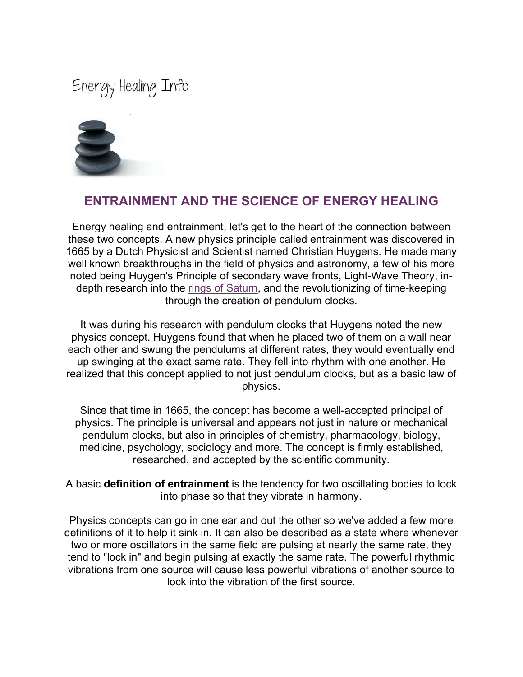Energy Healing Info



## **ENTRAINMENT AND THE SCIENCE OF ENERGY HEALING**

Energy healing and entrainment, let's get to the heart of the connection between these two concepts. A new physics principle called entrainment was discovered in 1665 by a Dutch Physicist and Scientist named Christian Huygens. He made many well known breakthroughs in the field of physics and astronomy, a few of his more noted being Huygen's Principle of secondary wave fronts, Light-Wave Theory, indepth research into the rings of Saturn, and the revolutionizing of time-keeping through the creation of pendulum clocks.

It was during his research with pendulum clocks that Huygens noted the new physics concept. Huygens found that when he placed two of them on a wall near each other and swung the pendulums at different rates, they would eventually end up swinging at the exact same rate. They fell into rhythm with one another. He realized that this concept applied to not just pendulum clocks, but as a basic law of physics.

Since that time in 1665, the concept has become a well-accepted principal of physics. The principle is universal and appears not just in nature or mechanical pendulum clocks, but also in principles of chemistry, pharmacology, biology, medicine, psychology, sociology and more. The concept is firmly established, researched, and accepted by the scientific community.

A basic **definition of entrainment** is the tendency for two oscillating bodies to lock into phase so that they vibrate in harmony.

Physics concepts can go in one ear and out the other so we've added a few more definitions of it to help it sink in. It can also be described as a state where whenever two or more oscillators in the same field are pulsing at nearly the same rate, they tend to "lock in" and begin pulsing at exactly the same rate. The powerful rhythmic vibrations from one source will cause less powerful vibrations of another source to lock into the vibration of the first source.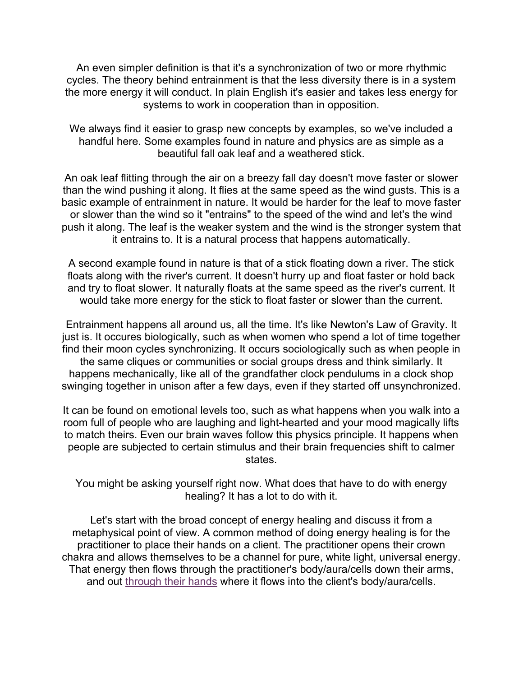An even simpler definition is that it's a synchronization of two or more rhythmic cycles. The theory behind entrainment is that the less diversity there is in a system the more energy it will conduct. In plain English it's easier and takes less energy for systems to work in cooperation than in opposition.

We always find it easier to grasp new concepts by examples, so we've included a handful here. Some examples found in nature and physics are as simple as a beautiful fall oak leaf and a weathered stick.

An oak leaf flitting through the air on a breezy fall day doesn't move faster or slower than the wind pushing it along. It flies at the same speed as the wind gusts. This is a basic example of entrainment in nature. It would be harder for the leaf to move faster or slower than the wind so it "entrains" to the speed of the wind and let's the wind push it along. The leaf is the weaker system and the wind is the stronger system that it entrains to. It is a natural process that happens automatically.

A second example found in nature is that of a stick floating down a river. The stick floats along with the river's current. It doesn't hurry up and float faster or hold back and try to float slower. It naturally floats at the same speed as the river's current. It would take more energy for the stick to float faster or slower than the current.

Entrainment happens all around us, all the time. It's like Newton's Law of Gravity. It just is. It occures biologically, such as when women who spend a lot of time together find their moon cycles synchronizing. It occurs sociologically such as when people in the same cliques or communities or social groups dress and think similarly. It happens mechanically, like all of the grandfather clock pendulums in a clock shop swinging together in unison after a few days, even if they started off unsynchronized.

It can be found on emotional levels too, such as what happens when you walk into a room full of people who are laughing and light-hearted and your mood magically lifts to match theirs. Even our brain waves follow this physics principle. It happens when people are subjected to certain stimulus and their brain frequencies shift to calmer states.

You might be asking yourself right now. What does that have to do with energy healing? It has a lot to do with it.

Let's start with the broad concept of energy healing and discuss it from a metaphysical point of view. A common method of doing energy healing is for the practitioner to place their hands on a client. The practitioner opens their crown chakra and allows themselves to be a channel for pure, white light, universal energy. That energy then flows through the practitioner's body/aura/cells down their arms, and out through their hands where it flows into the client's body/aura/cells.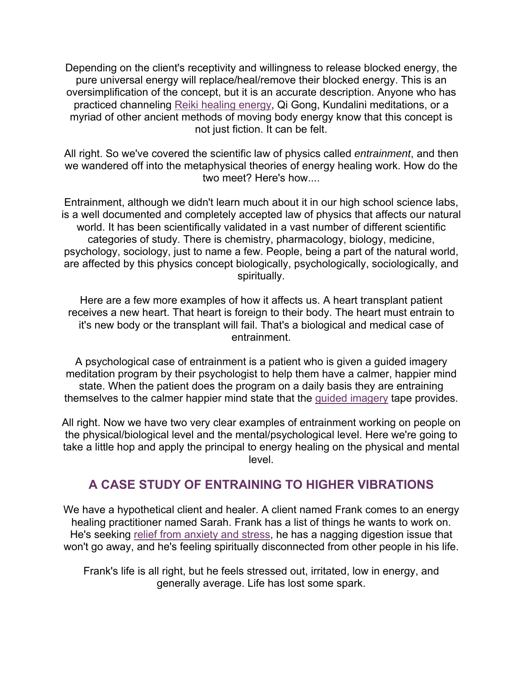Depending on the client's receptivity and willingness to release blocked energy, the pure universal energy will replace/heal/remove their blocked energy. This is an oversimplification of the concept, but it is an accurate description. Anyone who has practiced channeling Reiki healing energy, Qi Gong, Kundalini meditations, or a myriad of other ancient methods of moving body energy know that this concept is not just fiction. It can be felt.

All right. So we've covered the scientific law of physics called *entrainment*, and then we wandered off into the metaphysical theories of energy healing work. How do the two meet? Here's how....

Entrainment, although we didn't learn much about it in our high school science labs, is a well documented and completely accepted law of physics that affects our natural world. It has been scientifically validated in a vast number of different scientific categories of study. There is chemistry, pharmacology, biology, medicine, psychology, sociology, just to name a few. People, being a part of the natural world, are affected by this physics concept biologically, psychologically, sociologically, and spiritually.

Here are a few more examples of how it affects us. A heart transplant patient receives a new heart. That heart is foreign to their body. The heart must entrain to it's new body or the transplant will fail. That's a biological and medical case of entrainment.

A psychological case of entrainment is a patient who is given a guided imagery meditation program by their psychologist to help them have a calmer, happier mind state. When the patient does the program on a daily basis they are entraining themselves to the calmer happier mind state that the guided imagery tape provides.

All right. Now we have two very clear examples of entrainment working on people on the physical/biological level and the mental/psychological level. Here we're going to take a little hop and apply the principal to energy healing on the physical and mental level.

## **A CASE STUDY OF ENTRAINING TO HIGHER VIBRATIONS**

We have a hypothetical client and healer. A client named Frank comes to an energy healing practitioner named Sarah. Frank has a list of things he wants to work on. He's seeking relief from anxiety and stress, he has a nagging digestion issue that won't go away, and he's feeling spiritually disconnected from other people in his life.

Frank's life is all right, but he feels stressed out, irritated, low in energy, and generally average. Life has lost some spark.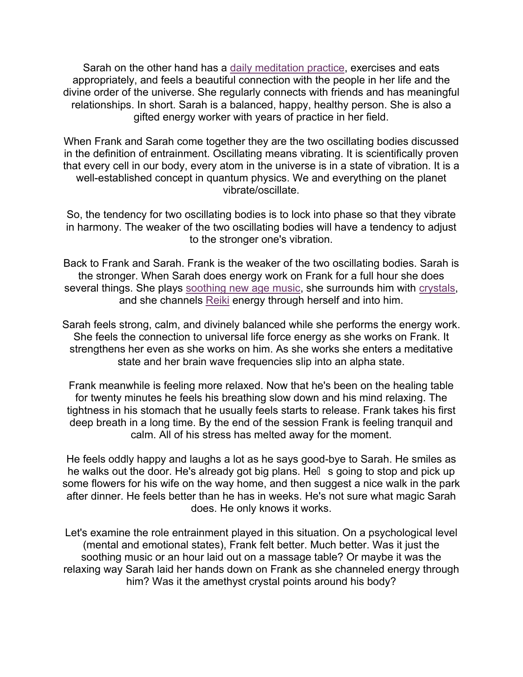Sarah on the other hand has a daily meditation practice, exercises and eats appropriately, and feels a beautiful connection with the people in her life and the divine order of the universe. She regularly connects with friends and has meaningful relationships. In short. Sarah is a balanced, happy, healthy person. She is also a gifted energy worker with years of practice in her field.

When Frank and Sarah come together they are the two oscillating bodies discussed in the definition of entrainment. Oscillating means vibrating. It is scientifically proven that every cell in our body, every atom in the universe is in a state of vibration. It is a well-established concept in quantum physics. We and everything on the planet vibrate/oscillate.

So, the tendency for two oscillating bodies is to lock into phase so that they vibrate in harmony. The weaker of the two oscillating bodies will have a tendency to adjust to the stronger one's vibration.

Back to Frank and Sarah. Frank is the weaker of the two oscillating bodies. Sarah is the stronger. When Sarah does energy work on Frank for a full hour she does several things. She plays soothing new age music, she surrounds him with crystals, and she channels Reiki energy through herself and into him.

Sarah feels strong, calm, and divinely balanced while she performs the energy work. She feels the connection to universal life force energy as she works on Frank. It strengthens her even as she works on him. As she works she enters a meditative state and her brain wave frequencies slip into an alpha state.

Frank meanwhile is feeling more relaxed. Now that he's been on the healing table for twenty minutes he feels his breathing slow down and his mind relaxing. The tightness in his stomach that he usually feels starts to release. Frank takes his first deep breath in a long time. By the end of the session Frank is feeling tranquil and calm. All of his stress has melted away for the moment.

He feels oddly happy and laughs a lot as he says good-bye to Sarah. He smiles as he walks out the door. He's already got big plans. Hell s going to stop and pick up some flowers for his wife on the way home, and then suggest a nice walk in the park after dinner. He feels better than he has in weeks. He's not sure what magic Sarah does. He only knows it works.

Let's examine the role entrainment played in this situation. On a psychological level (mental and emotional states), Frank felt better. Much better. Was it just the soothing music or an hour laid out on a massage table? Or maybe it was the relaxing way Sarah laid her hands down on Frank as she channeled energy through him? Was it the amethyst crystal points around his body?